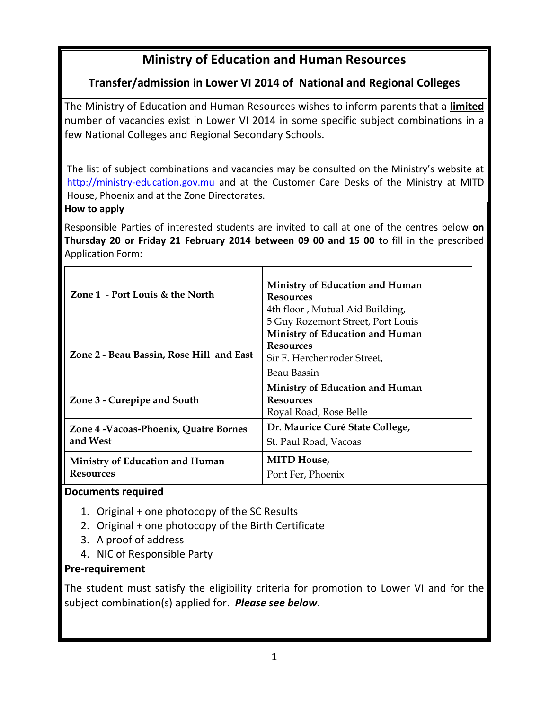# **Ministry of Education and Human Resources**

# **Transfer/admission in Lower VI 2014 of National and Regional Colleges**

The Ministry of Education and Human Resources wishes to inform parents that a **limited** number of vacancies exist in Lower VI 2014 in some specific subject combinations in a few National Colleges and Regional Secondary Schools.

The list of subject combinations and vacancies may be consulted on the Ministry's website at [http://ministry-education.gov.mu](http://ministry-education.gov.mu/) and at the Customer Care Desks of the Ministry at MITD House, Phoenix and at the Zone Directorates.

#### **How to apply**

Responsible Parties of interested students are invited to call at one of the centres below **on Thursday 20 or Friday 21 February 2014 between 09 00 and 15 00** to fill in the prescribed Application Form:

| Zone 1 - Port Louis & the North                     | Ministry of Education and Human<br><b>Resources</b><br>4th floor, Mutual Aid Building,<br>5 Guy Rozemont Street, Port Louis |
|-----------------------------------------------------|-----------------------------------------------------------------------------------------------------------------------------|
| Zone 2 - Beau Bassin, Rose Hill and East            | Ministry of Education and Human<br><b>Resources</b><br>Sir F. Herchenroder Street,<br>Beau Bassin                           |
| Zone 3 - Curepipe and South                         | Ministry of Education and Human<br><b>Resources</b><br>Royal Road, Rose Belle                                               |
| Zone 4 - Vacoas-Phoenix, Quatre Bornes<br>and West  | Dr. Maurice Curé State College,<br>St. Paul Road, Vacoas                                                                    |
| Ministry of Education and Human<br><b>Resources</b> | <b>MITD House</b> ,<br>Pont Fer, Phoenix                                                                                    |

#### **Documents required**

- 1. Original + one photocopy of the SC Results
- 2. Original + one photocopy of the Birth Certificate
- 3. A proof of address
- 4. NIC of Responsible Party

#### **Pre-requirement**

The student must satisfy the eligibility criteria for promotion to Lower VI and for the subject combination(s) applied for. *Please see below*.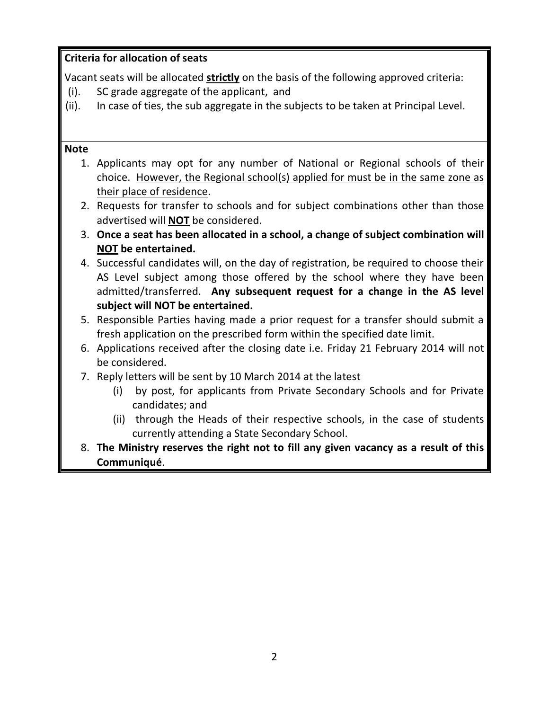### **Criteria for allocation of seats**

Vacant seats will be allocated **strictly** on the basis of the following approved criteria:

- (i). SC grade aggregate of the applicant, and
- (ii). In case of ties, the sub aggregate in the subjects to be taken at Principal Level.

#### **Note**

- 1. Applicants may opt for any number of National or Regional schools of their choice. However, the Regional school(s) applied for must be in the same zone as their place of residence.
- 2. Requests for transfer to schools and for subject combinations other than those advertised will **NOT** be considered.
- 3. **Once a seat has been allocated in a school, a change of subject combination will NOT be entertained.**
- 4. Successful candidates will, on the day of registration, be required to choose their AS Level subject among those offered by the school where they have been admitted/transferred. **Any subsequent request for a change in the AS level subject will NOT be entertained.**
- 5. Responsible Parties having made a prior request for a transfer should submit a fresh application on the prescribed form within the specified date limit.
- 6. Applications received after the closing date i.e. Friday 21 February 2014 will not be considered.
- 7. Reply letters will be sent by 10 March 2014 at the latest
	- (i) by post, for applicants from Private Secondary Schools and for Private candidates; and
	- (ii) through the Heads of their respective schools, in the case of students currently attending a State Secondary School.
- 8. **The Ministry reserves the right not to fill any given vacancy as a result of this Communiqué**.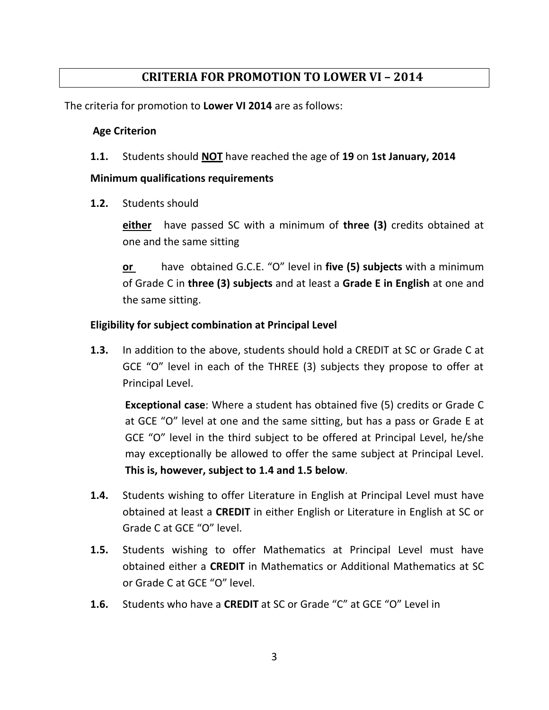## **CRITERIA FOR PROMOTION TO LOWER VI – 2014**

The criteria for promotion to **Lower VI 2014** are as follows:

#### **Age Criterion**

**1.1.** Students should **NOT** have reached the age of **19** on **1st January, 2014**

#### **Minimum qualifications requirements**

**1.2.** Students should

**either** have passed SC with a minimum of **three (3)** credits obtained at one and the same sitting

**or** have obtained G.C.E. "O" level in **five (5) subjects** with a minimum of Grade C in **three (3) subjects** and at least a **Grade E in English** at one and the same sitting.

#### **Eligibility for subject combination at Principal Level**

**1.3.** In addition to the above, students should hold a CREDIT at SC or Grade C at GCE "O" level in each of the THREE (3) subjects they propose to offer at Principal Level.

**Exceptional case**: Where a student has obtained five (5) credits or Grade C at GCE "O" level at one and the same sitting, but has a pass or Grade E at GCE "O" level in the third subject to be offered at Principal Level, he/she may exceptionally be allowed to offer the same subject at Principal Level. **This is, however, subject to 1.4 and 1.5 below**.

- **1.4.** Students wishing to offer Literature in English at Principal Level must have obtained at least a **CREDIT** in either English or Literature in English at SC or Grade C at GCE "O" level.
- **1.5.** Students wishing to offer Mathematics at Principal Level must have obtained either a **CREDIT** in Mathematics or Additional Mathematics at SC or Grade C at GCE "O" level.
- **1.6.** Students who have a **CREDIT** at SC or Grade "C" at GCE "O" Level in